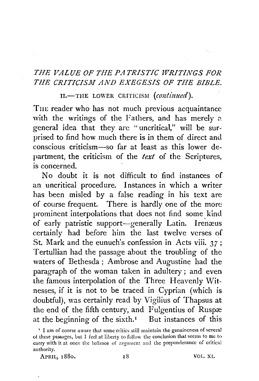## *THE VALUE OF THE PATRISTIC WRITINGS FOR THE CRITICISM. AND EXEGESIS OF THE BIBLE.*

II.-THE LOWER CRITICISM (continued).

THE reader who has not much previous acquaintance with the writings of the Fathers, and has merely a general idea that they are "uncritical," will be surprised to find how much there is in them of direct and conscious criticism-so far at least as this lower department, the criticism of the *text* of the Scriptures, is concerned.

No doubt it is not difficult to find instances of an uncritical procedure. Instances in which a writer has been misled by a false reading in his text are of course frequent. There is hardly one of the more prominent interpolations that does not find some kind of early patristic support-generally Latin. Irenæus certainly had before him the last twelve verses of St. Mark and the eunuch's confession in Acts viii. *37* ; Tertullian had the passage about the troubling of the waters of Bethesda ; Ambrose and Augustine had the paragraph of the woman taken in adultery ; and even the famous interpolation of the Three Heavenly Witnesses, if it is not to be traced in Cyprian (which is doubtful), was certainly read by Vigilius of Thapsus at the end of the fifth century, and Fulgentius of Ruspæ at the beginning of the sixth.<sup> $I$ </sup> But instances of this

APRIL, 1880. 18 18 VOL. XI.

<sup>&</sup>lt;sup>1</sup> I am of course aware that some critics still maintain the genuineness of several of these passages, but I feel at liberty to follow the conclusion that seems to me to carry with it at once the babnce of argument and the preponderance of critical authority.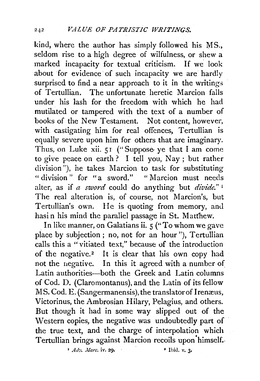kind, where the author has simply followed his MS., seldom rise to a high degree of wilfulness, or shew a marked incapacity for textual criticism. If we look about for evidence of such incapacity we are hardly surprised to find a near approach to it in the writings of Tertullian. The unfortunate heretic Marcion falls under his lash for the freedom with which he had mutilated or tampered with the text of a number of books of the New Testament. Not content, however, with castigating him for real offences, Tertullian is equally severe upon him for others that are imaginary. Thus, on Luke xii. 51 ("Suppose ye that I am come to give peace on earth ? I tell you, Nay ; but rather division"), he takes Marcion to task for substituting "division" for "a sword." "Marcion must needs alter, as if *a sword* could do anything but *divide."* <sup>1</sup> The real alteration is, of course, not Marcion's, but Tertullian's own. He is quoting from memory, and hasi n his mind the paraliel passage in St. Matfhew.

In like manner, on Galatians ii. 5 ("To whom we gave place by subjection ; no, not for an hour"), Tertullian calls this a " vitiated text;" because of the introduction of the negative.<sup>2</sup> It is clear that his own copy had not the negative. In this it agreed with a number of Latin authorities--both the Greek and Latin columns of Cod. D. (Claromontanus), and the Latin of its fellow MS. Cod. E. (Sangermanensis), the translator of Irenæus, Victorinus, the Ambrosian Hilary, Pelagius, and others. But though it had in some way slipped out of the Western copies, the negative was undoubtedly part of the true text, and the charge of interpolation which Tertullian brings against Marcion recoils upon himself.

<sup>1</sup> Adv. Marc. iv. 29. **• Ibid. v. 3.**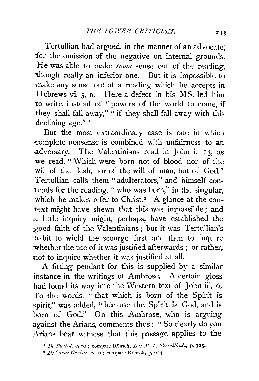Tertullian had argued, in the manner of an advocate, for the omission of the negative on internal grounds. He was able to make *some* sense out of the reading, though really an inferior one. But it is impossible to make any sense out of a reading which he accepts in Hebrews vi. 5, 6. Here a defect in his MS. led him to write, instead of "powers of the world to come, if they shall fall away," "if they shall fall away with this ·declining age." <sup>I</sup>

But the most extraordinary case is one in which -complete nonsense is combined with unfairness· to an .adversary. The Valentinians read in John i. 13, as we read, "Which were born not of blood, nor of the will of the flesh, nor of the will of man, but of God." Tertullian calls them "adulterators," and himself contends for the reading, " who was born," in the singular, which he makes refer to Christ.<sup>2</sup> A glance at the context might have shewn that this was impossible; and .a little inquiry might, perhaps, have established the good faith of the Valentinians; but it was Tertullian's habit to wield the scourge first and then to inquire whether the use of it was justified afterwards ; or rather, not to inquire whether it was justified at all.

A fitting pendant for this is supplied by a similar instance in the writings of Ambrose. A certain gloss had found its way into the Western text of John iii. 6. To the words, "that which is born of the Spirit is spirit," was added, " because the Spirit is God, and is born of God." On this Ambrose, who is arguing against the Arians, comments thus: "So clearly do you .Arians bear witness that this passage applies to the

<sup>&</sup>lt;sup>1</sup> De Pudicit. c. 20; compare Rönsch, D,is N. T. Tertullian's, p. 725-

<sup>&</sup>lt;sup>2</sup> De Carne Christi, c. 19; compare Rönsch, p. 651.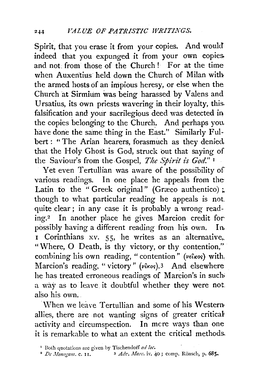Spirit, that you erase it from your copies. And would indeed that you expunged it from your own copies. and not: from those of the Church ! For at the time when Auxentius held down the Church of Milan with the armed hosts of an impious heresy, or else when the Church at Sirmium was being harassed by Valens and Ursatius, its own priests wavering in their loyalty, this. falsification and your sacrilegious deed was detected in the copies belonging to the Church. And perhaps you, have done the same thing in the East." Similarly Fulbert : " The Arian hearers, forasmuch as they denied that the Holy Ghost is God, struck out that saying of the Saviour's from the Gospel, *The Spirit is God.*"<sup>1</sup>

Yet even Tertullian was aware of the possibility of various readings. In one place he appeals from the Latin to the " Greek original" (Græco authentico) ;. though to what particular reading he appeals is not quite clear ; in any case it is probably a wrong reading.2 In another place he gives Marcion credit for· possibly having a different reading from his own. In I Corinthians xv. 55, he writes as an alternative, "Where, 0 Death, is thy victory, or thy contention," combining his own reading, "contention" (vetros) with. Marcion's reading, "victory" (vixos).<sup>3</sup> And elsewhere he has treated erroneous readings of Marcion's in such; a way as to leave it doubtful whether they were not . .also his own.

 $\overline{W}$  When we leave Tertullian and some of his Westernallies, there are not wanting signs of greater critical activity and circumspection. In mere ways than one it is remarkable to what an extent the critical methods.

<sup>&</sup>lt;sup>1</sup> Both quotations are given by Tischendorf *ad loc*.

<sup>&</sup>lt;sup>2</sup> De Monogam. c. 11. <sup>3</sup> Adv. Marc. iv. 40; comp. Rönsch, p. 685.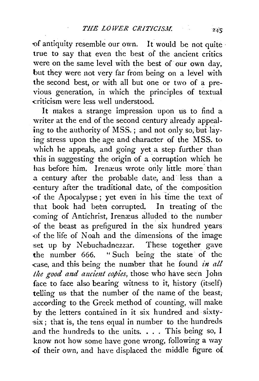of antiquity resemble our own. It would be not quite true to say that even the best of the ancient critics were on the same level with the best of our own day, but they were not very far from being on a level with the second best, or with all but one or two of a previous generation, in which the principles of textual -criticism were less well understood.

It makes a strange impression upon us to find a writer at the end of the second century already appealing to the authority of MSS.; and not only so, but laying stress upon the age and character of the MSS. to which he appeals, and going yet a step further than this in suggesting the origin of a corruption which he has before him. Irenæus wrote only little more than a century after the probable date, and· less than a -century after the traditional date, of the composition of the Apocalypse; yet even in his time the text of that book had been corrupted. In treating of the coming of Antichrist, Irenæus alluded to the number ·of the beast as prefigured in the six hundred years of the life of Noah and the dimensions of the image set up by Nebuchadnezzar. These together gave the number  $666.$  "Such being the state of the -case, and this being the number that he found *in all*  the good and ancient copies, those who have seen John face to face also bearing witness to it, history (itself) telling us that the number of the name of the beast; according to the Greek method of counting, will make by the letters contained in it six hundred and· sixty-  $\sin x$ ; that is, the tens equal in number to the hundreds and the hundreds to the units. . . . This being so, I know not how some have gone wrong, following a way of their own, and have displaced the middle figure of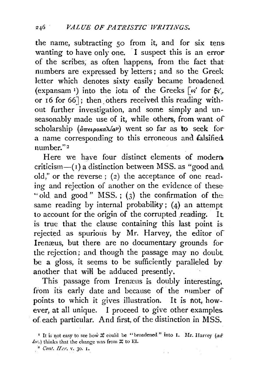the name, subtracting 50 from it, and for six tens wanting to have only one. I suspect this is an error of the scribes, as often happens, from the fact that numbers are expressed by letters ; and so the Greek letter which denotes sixty easily became broadened (expansam<sup>1</sup>) into the iota of the Greeks [ $\kappa'$  for  $\xi_{\kappa'}.$ or 16 for 66]; then others received this reading without further investigation, and some simply and unseasonably made use of it, while others, from want of scholarship  $(a\pi\epsilon\omega\alpha\lambda/\alpha\nu)$  went so far as to seek for a name corresponding to this erroneous and falsified number." <sup>2</sup>

Here we have four distinct elements of modern criticism $-(1)$  a distinction between MSS. as "good and old," or the reverse; (2) the acceptance of one reading and rejection of another on the evidence of these "old and good" MSS.; (3) the confirmation of the same reading by internal probability;  $(4)$  an attempt to account for the origin of the corrupted reading. It is true that the clause containing this last point is rejected as spurious by Mr. Harvey, the editor of Irenæus, but there are no documentary grounds for the rejection; and though the passage may no doubt be a gloss, it seems to be sufficiently paralleled by another that wiH be adduced presently.

This passage from Iremeus is doubly interesting, from its early date and because of the number of points to which it gives illustration. It is not, however, at all unique. I proceed to give other examples. of each particular. And first, of the distinction in MSS.

<sup>&</sup>lt;sup>I</sup> It is not easy to see how  $\Xi$  could be "broadened" into I. Mr. Harvey (ad' *ioc.*) thinks that the change was from  $\Xi$  to EI.  $\frac{2}{3}$  *Cont. H.cr.* v. 30. 1.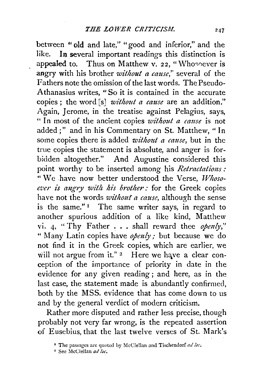between "old and late," "good and inferior," and the like. In several important readings this distinction is appealed to. Thus on Matthew v. 22, "Whosoever is angry with his brother *without a cause*," several of the Fathers note the omission of the last words. The Pseudo-Athanasius writes, "So it is contained in the accurate copies; the word [s] *without a cause* are an addition." Again, Jerome, in the treatise against Pelagius, says, " In most of the ancient copies *without a cause* is not added;'' and in his Commentary on St. Matthew, " In some copies there is added *without a cause,* but in the true copies the statement is absolute, and anger is forbidden altogether." And Augustine considered this point worthy to be inserted among his *Retractations:*  "We have now better understood the Verse, Whoso*ever is a11gry with his brother:* for the Greek copies have not the words *without a cause,* althouzh the sense is the same." $\frac{1}{1}$  The same writer says, in regard to another spurious addition of a like kind, Matthew vi. 4, " Thy Father ... shall reward thee *opmly,"*  " Many Latin copies have *opmly;* but because we do not find it in the Greek copies, which are earlier, we will not argue from it."  $2$  Here we have a clear conception of the importance of priority in date in the evidence for any given reading ; and here, as in the last case, the statement made is abundantly confirmed, both by the MSS. evidence that has come down to us and by the general verdict of modern criticism.

Rather more disputed and rather less precise, though probably not very far wrong, is the repeated assertion of Eusebius, that the last twelve verses of St. Mark's

<sup>&#</sup>x27; The passages are quoted by McCie!lan and Tischendorf *ad loc.* 

<sup>&</sup>lt;sup>2</sup> See McClellan ad loc.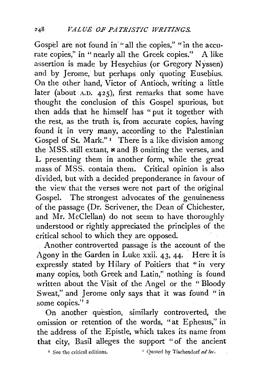Gospel are not found in "all the copies," "in the accurate copies," in " nearly all the Greek copies." A like assertion is made by Hesychius (or Gregory Nyssen) and by Jerome, but perhaps only quoting Eusebius. On the other hand, Victor of Antioch, writing a little later (about A.D. 425), first remarks that some have thought the conclusion of this Gospel spurious, but then adds that he himself has "put it together with the rest, as the truth is, from accurate copies, having found it in very many, according to the Palestinian Gospel of St. Mark."<sup>1</sup> There is a like division among the MSS. still extant,  $\dot{x}$  and B omitting the verses, and L presenting them in another form, while the great mass of MSS. contain them. Critical opinion is also divided, but with a decided preponderance in favour of the view' that the verses were not part of the original Gospel. The strongest advocates of the genuineness of the passage (Dr. Scrivener, the Dean of Chichester, and Mr. McClellan) do not seem to have thoroughly understood or rightly appreciated the principles of the critical school to which they are opposed.

Another controverted passage is the account of the Agony in the Garden in Luke xxii.  $43, 44$ . Here it is expressly stated by Hilary of Poitiers that "in very many copies, both Greek and Latin," nothing is found written about the Visit of the Angel or the " Bloody Sweat," and Jerome only says that it was found "in some copies."<sup>2</sup>

On another question, similarly controverted, the omission or retention of the words, "at Ephesus," in the address of the Epistle, which takes its name from that city, Basil alleges the support "of the ancient

 $\frac{1}{2}$  See the critical editions.  $\frac{1}{2}$  Ouoted by Tischendorf *ad loc.*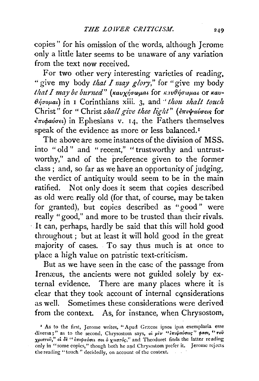copies" for his omission of the words, although Jerome only a little later seems to he unaware of any variation from the text now received.

For two other very interesting varieties of reading. " give my body *that I may glory,"* for "give my body *that I may be burned*" (καυχήσωμαι for καυθήσωμαι or καυ- $\theta$ *ifformal*) in I Corinthians xiii. 3, and *'thou shalt touch* Christ" for " Christ *shall give thee light*" (επιψαύσεις for *brupaucret)* in Ephesians v. J4, the Fathers themselves speak of the evidence as more or less balanced.<sup>1</sup>

The above are some instances of the division of MSS. into "old" and "recent," "trustworthy and untrustworthy," and of the preference given to the former class; and, so far as we have an opportunity of judging, the verdict of antiquity would seem to be in the main ratified. Not only does it seem that copies described as old were really old (for that, of course, may be taken for granted), but copies described as "good" were really "good," and more to be trusted than their rivals. · It can, perhaps, hardly be said that this will hold good throughout ; but at least it will hold good in the great majority of cases. To say thus much is at once to place a high value on patristic text-criticism.

But as we have seen in the case of the passage from Irenæus, the ancients were not guided solely by external evidence. There are many places where it is clear that they took account of internal considerations as well. Sometimes these considerations were derived · from the context. As, for instance, when Chrysostom;

<sup>&</sup>lt;sup>*I*</sup> As to the first, Jerome writes, "Apud Græcos ipsos ipsa exemplaria esse diversa;" as to the second, Chrysostom says, oi piv "invarious" pao, "Tov χριστού," οι δε "επιφαύσει σοι ό χριστός," and Theodoret finds the latter reading only in "some copies," though both he and Chrysostom prefer it. Jerome rejects the reading "touch" decidedly, on account of the context.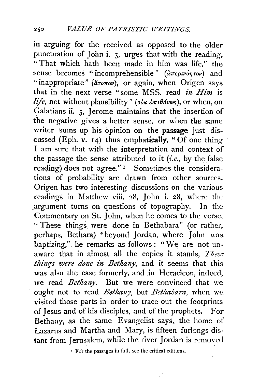in arguing for the received as opposed to the older punctuation of John i.  $\beta$ , urges that with the reading. "That which hath been made in him was life,'' the sense becomes "incomprehensible" (απερινόητον) and "inappropriate" (arorov), or again, when Origen says that in the next verse "some MSS. read *in Him* is  $life$ , not without plausibility" (oir  $d\pi t\theta d\omega$ s), or when, on Galatians ii. 5, Jerome maintains that the insertion of the negative gives a better sense, or when the same writer sums up his opinion on the passage just discussed (Eph. v. 14) thus emphatically, "Of one thing I am sure that with the interpretation and context of the passage the sense attributed to it *(i.e.,* by the false reaging) does not agree." 1 Sometimes the considerations of probability are drawn from other sources. Origen has two interesting discussions on the various readings in Matthew viii. 28, John i. 28, where the .argument turns on questions of topography. In the Commentary on St. John, when he comes to the verse, ''These things were done in Bethabara" (or rather, perhaps, Bethara) "beyond Jordan, where John was. baptizing,'' he remarks as follows: "We are not unaware that in a1most all the copies it stands, *These*  things were done in Bethany, and it seems that this was also the case formerly, and in Heracleon, indeed, we read *Bethany.* But we were convinced that we ought not to read *Bethany*, but *Bethabara*, when we visited those parts in order to trace out the footprints of Jesus and of his disciples, and of the prophets. For Bethany, as the same Evangelist says, the home of Lazarus and Martha and Mary, is fifteen furlongs distant from Ierusalem, while the river Jordan is removed

 $\cdot$  For the passages in full, see the critical editions.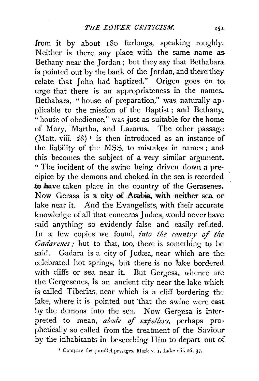from it by about 180 furlongs, speaking roughly. Neither is there any place with the same name as. Bethany near the Jordan ; but they say that Bethabara. is pointed out by the bank of the Jordan, and there they relate that John had baptized." Origen goes on to. urge that there is an appropriateness in the names. Bethabara, " house of preparation," was naturally applicable to the mission of the Baptist ; and Bethany. "house of obedience," was just as suitable for the home of Mary, Martha, and Lazarus. The other passage (Matt. viii.  $28$ )<sup>1</sup> is then introduced as an instance of the liability of the MSS. to mistakes in names ; and this becomes the subject of a very similar argument. " The incident of the swine being driven down a precipice by the demons and choked in the sea is recorded to have taken place in the country of the Gerasenes. Now Gerasa is a city of Arabia, with neither sea or lake near it. And the Evangelists, with their accurate knowledge of all that concerns Judæa, would never have said anything so evidently false and easily refuted. In a few copies we found, *into the country of the Gadarenes* ; but to that, too, there is something to be said. Gadara is a city of Judæa, near which are the celebrated hot springs, but there is no lake bordered with cliffs or sea near it. But Gergesa, whence are the Gergesenes, is an ancient city near the lake which is called Tiberias, near which is a cliff bordering the. lake, where it is pointed out that the swine were cast by the demons into the sea. Now Gergesa is interpreted to mean, *abode* of *expellers,* perhaps prophetically so called from the treatment of the Saviour by the inhabitants in beseeching Him to depart out of

<sup>1</sup> Compare the parallel passages, Mark v. 1, Luke viii. 26, 37.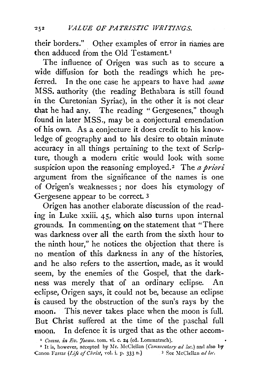their borders." Other examples of error in names are then adduced from the Old Testament.<sup>1</sup>

The influence of Origen was such as to secure a wide diffusion for both the readings which he preferred, In the one case he appears to have had *some*  MSS. authority (the reading Bethabara is still found in the Curetonian Syriac), in the other it is not clear that he had any. The reading "Gergesenes," though found in later MSS., may be a conjectural emendation of his own. As a conjecture it does credit to his knowledge of geography and to his desire to obtain minute accuracy in all things pertaining to the text of Scripture, though a modern critic would look with some suspicion upon the reasoning employed.<sup>2</sup> The *a priori* argument from the significance of the names is one of Origen's weaknesses; nor does his etymology of Gergesene appear to be correct. 3

Origen has another elaborate discussion of the reading in Luke xxiii. 45, which also turns upon internal grounds. In commenting on the statement that "There was darkness over all the earth from the sixth hour to the ninth hour," he notices the objection that there is no mention of this darkness in any of the histories, .and he also refers to the assertion, made, as it would seem, by the enemies of the Gospel, that the darkness was merely that of an ordinary eclipse. An eclipse, Origen says, it could not be, because an eclipse is caused by the obstruction of the sun's rays by the moon. This never takes place when the moon is full. But Christ suffered at the time of the paschal full moon. In defence it is urged that as the other accom-

<sup>&</sup>lt;sup>1</sup> Comm. in Ev. Joann. tom. vi. c. 24 (ed. Lommatzsch).

<sup>•</sup> It is, however, accepted by Mr. McClellan *(Commmtary ad !oc.)* and also by Canon Farrar *(Life of Christ, vol. i. p. 333 n.)* 3 See McClellan *ad loc.*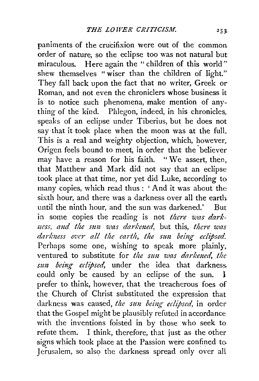paniments of the crucifixion were out of the common order of nature, so the eclipse too was not natural but miraculous. Here again the "children of this world" shew themselves " wiser than the children of light." They fall back upon the fact that no writer, Greek or Roman, and not even the chroniclers whose business it is to notice such phenomena, make mention of anything of the kind. Phlegon, indeed, in his chronicles, speaks of an eclipse under Tiberius, but he does not say that it took place when the moon was at the full. This is a real and weighty objection, which, however, Origen feels bound to meet, in order that the 'believer may have a reason for his faith. " We assert, then, that Matthew and Mark did not say that an eclipse took place at that time, nor yet did Luke, according to many copies, which read thus: 'And it was about the sixth hour, and there was a darkness over all the earth until the ninth hour, and the sun was darkened.' But in some copies the reading is not *there was darkness, and the sun was darkened,* but this, *there was* darkness over all the carth, the sun being eclipsed. Perhaps some one, wishing to speak more plainly, ventured to substitute for *the sun was darkened*, the *sun being eclipsed*, under the idea that darkness. could only be caused by an eclipse of the sun. I prefer to think, however, that the treacherous foes of the Church of Christ substituted the expression that darkness was caused, *the sun being eclipsed*, in order that the Gospel might be plausibly refuted in accordance with the inventions foisted in by those who seek to refute them. I think, therefore, that just as the other signs which took place at the Passion were confined to Jerusalem, so also the darkness spread only over all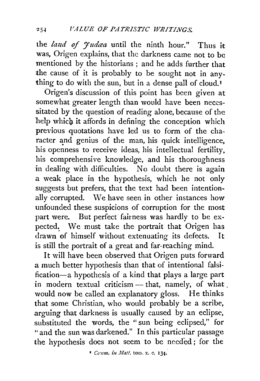the *land of Judga* until the ninth hour." Thus it was, Origen explains, that the darkness came not to be mentioned by the historians ; and he adds further that the cause of it is probably to be sought not in anything to do with the sun, but in a dense pall of cloud.<sup>1</sup>

Origen's discussion of this point has been given at somewhat greater length than would have been necessitated by the question of reading alone, because of the help which it affords in defining the conception which previous quotations have led us to form of the character and genius of the man, his quick intelligence, his openness to receive ideas, his intellectual fertility, his comprehensive knowledge, and his thoroughness in dealing with difficulties. No doubt there is again a weak place in the hypothesis, which he not only suggests but prefers, that the text had been intentionally corrupted. We have seen in other instances how unfounded these suspicions of corruption for the most part were. But perfect fairness was hardly to be expected. We must take the portrait that Origen has drawn of himself without extenuating its defects. It is still the portrait of a great and far-reaching mind.

It will have been observed that Origen puts forward a much better hypothesis than that of intentional falsification-a hypothesis of a kind that plays a large part in modern textual criticism - that, namely, of what. would now be called an explanatory gloss. He thinks that some Christian, who would probably be a scribe, arguing that darkness is usually caused by an eclipse, substituted the words, the "sun being eclipsed," for " and the sun was darkened." In this particular passage the hypothesis does not seem to be needed ; for the

<sup>&</sup>lt;sup>\*</sup> Comm. in *Matt.* tom. x. c. 134.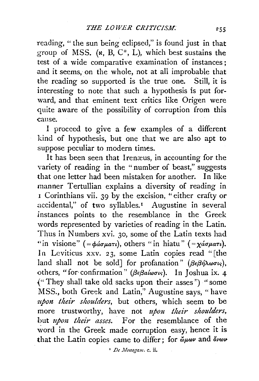reading, "the sun being eclipsed," is found just in that group of MSS. ( $\mathbf{x}$ ,  $\mathbf{B}$ ,  $\mathbf{C}^*$ ,  $\mathbf{L}$ ), which best sustains the test of a wide comparative examination of instances; and it seems, on the whole, not at all improbable that the reading so supported is the true one. Still, it is interesting to note that such a hypothesis is put forward, and that eminent text critics like Origen were quite aware of the possibility of corruption from this cause.

I proceed to give a few examples of a different kind of hypothesis, but one that we are also apt to suppose peculiar to modern times.

It has been seen that Irenæus, in accounting for the variety of reading in the " number of beast," suggests that one letter had been mistaken for another. In like manner Tertullian explains a diversity of reading in 1 Corinthians vii. 39 by the excision, "either crafty or accidental," of two syllables.<sup>1</sup> Augustine in several instances points to the resemblance in the Greek words represented by varieties of reading in the Latin. Thus in Numbers xvi. 30, some of the Latin texts had "in visione" ( $=\phi \omega \pi i$ ), others "in hiatu" ( $=\chi \omega \pi i$ ). In Leviticus xxv. 23, some Latin copies read "[the land shall not be sold] for profanation" ( $\beta \epsilon \beta \eta \lambda \omega \sigma \iota_{S}$ ), others, "for confirmation" *(βεβαίωσις)*. In Joshua ix. 4 {"They shall take old sacks upon their asses") "some MSS., both Greek and Latin," Augustine says, "have upon their shoulders, but others, which seem to be more trustworthy, have not *upon their shoulders*, but *upon their asses*. For the resemblance of the word in the Greek made corruption easy, hence it is that the Latin copies came to differ; for  $\phi_{\mu\omega\nu}$  and  $\phi_{\nu\omega\nu}$ 

' *De Jlouogam.* c. ii.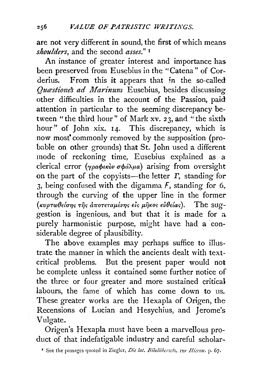are not very different in sound, the first of which means *shoulders,* and the second *asses."* <sup>1</sup>

An instance of greater interest and importance has been preserved from Eusebius in the "Catena" of Corderius. From this it appears that in the so-called Ouastiones ad Marinum Eusebius, besides discussing other difficulties in the account of the Passion, paid attention in particular to the seeming discrepancy between "the third hour" of Mark xv.  $23$ , and "the sixth hour" of John xix. 14. This discrepancy, which is now most" commonly removed by the supposition (probable on other grounds) that St. John used a different mode of reckoning time, Eusebius explained as a clerical error *(γραφικὸν σφάλμα)* arising from oversight on the part of the copyists—the letter *, standing for* 3, being confused with the digamma  $F$ , standing for 6, through the curving of the upper line in the former (κυρτωθείσης της αποτεταμένης είς μηκος εύθείας). The suggestion is ingenious, and but that it is made for a purely harmonistic purpose, might have had a 'considerable degree of plausibility.

The above examples may perhaps suffice to illustrate the manner in which the ancients dealt with textcritical problems. But the present paper would not be complete unless it contained some further notice of the three or four greater and more sustained critical labours, the fame of which has come down to us. These greater works are the Hexapla of Origen, the Recensions of Lucian and Hesychius, and Jerome's Vulgate.

Origen's Hexapla must have been a marvellous product of that indefatigable industry and careful scholar-

<sup>&</sup>lt;sup>\*</sup> See the passages quoted in Ziegler, *Die lat. Bibelübersets, vor Hieron.* p. 67.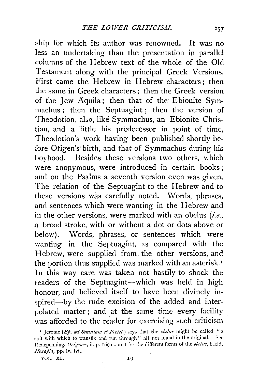ship for which its author was renowned. It was no less an undertaking than the presentation in parallel columns of the Hebrew text of the whole of the Old Testament along with the principal Greek Versions. First came the Hebrew in Hebrew characters; then the same in Greek characters ; then the Greek version of the Jew Aquila; then that of the Ebionite Symmachus ; then the Septuagint ; then the version of Theodotion, also, like Symmachus, an Ebionite Christian, and a little his predecessor in point of time, Theodotion's work having been published shortly before Otigen's·birth, and that of Symmachus during his boyhood. Besides these versions two others, which were anonymous, were introduced in certain books; and on the Psalms a seventh version even was given. The relation of the Septuagint to the Hebrew and to these versions was carefully noted. Words, phrases, and sentences which were wanting in the Hebrew and in the other versions, were marked with an obelus *(i.e.,*  a broad stroke, with or without a dot or dots above or below). Words, phrases, or sentences which were wanting in the Septuagint, as compared with the Hebrew, were supplied from the other versions, and the portion thus supplied was marked with an asterisk.<sup>1</sup> ln this way care was taken not hastily to shock the readers of the Septuagint-which was held in high honour, and believed itself to have been divinely inspired-by the rude excision of the added and interpolated matter; and at the same time every facility was afforded to the reader for exercising such criticism

257

<sup>•</sup> Jerome *(Ep.* ad *Sunuiam et Frctd.)* says that the *obelus* might be called "a spit with which to transfix and run through" all not found in the original. See Redepenning, Origenes, ii. p. 169 n., and for the different forms of the obclus, Field, Ilexapla, pp. lv. lvi.

VOL. XI.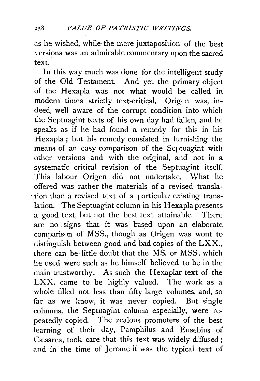as he wished, while the mere juxtaposition of the best versions was an admirable commentary upon the sacred text.

In this way much was done for the intelligent study of the Old Testament. And yet the primary object of the Hexapla was not what would be called in modern times strictly text-critical. Origen was, indeed, well aware of the corrupt condition into which the Septuagint texts of his own day had fallen, and he speaks as if he had found a remedy for this in his Hexapla ; but his remedy consisted in furnishing the means of an easy comparison of the Septuagint with other versions and with the original, and not in a systematic critical revision of the Septuagint itself. This labour Origen did not undertake. What he offered was rather the materials of a revised transla- . tion than a revised text of a particular existing translation. The Septuagint column in his Hexapla presents a good text, but not the best text attainable. There are no signs that it was based upon an elaborate comparison of MSS., though as Origen was wont to distinguish between good and bad copies of the LXX., there can be little doubt that the MS. or MSS. which he used were such as he himself believed to be in the main trustworthy. As such the Hexaplar text of the LXX. came to be highly valued. The work as a whole filled not less than fifty large volumes, and, so far as we know, it was never copied. But single columns, the Septuagint column especially, were repeatedly copied. The zealous promoters of the best learning of their day, Pamphilus and Eusebius of Cæsarea, took care that this text was widely diffused; and in the time of Jerome it was the typical text of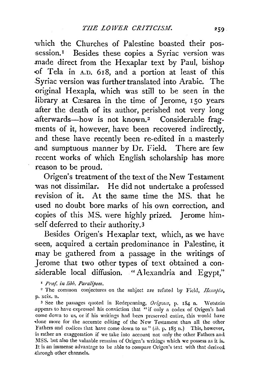which the Churches of Palestine boasted their pos session.<sup>1</sup> Besides these copies a Syriac version was made direct from the Hexaplar text by Paul, bishop <>f Tela in A.D. 618, and a portion at least of this .Syriac version was further translated into Arabic. The original Hexapla, which was still to be seen in the library at Cæsarea in the time of Jerome, 150 years after the death of its author, perished not very long .afterwards-how is not known. 2 Considerable fragments of it, however, have been recovered indirectly, and these have recently been re-edited in a masterly .and sumptuous manner by Dr. Field. There are few recent works of which English scholarship has more reason to be proud.

Origen's treatment of the text of the New Testament was not dissimilar. He did not undertake a professed revision of it. At the same time the MS. that he used no doubt bore marks of his own correction, and copies of this MS. were highly prized. Jerome him- -self deferred to their authority.3

Besides Origen's Hexaplar text, which, as we have seen, acquired a certain predominance in Palestine, it may be gathered from a passage in the writings of Jerome that two other types of text obtained a considerable local diffusion. "Alexandria and Egypt,"

<sup>1</sup> Praf. in libb. Paralipom.

<sup>2</sup> The common conjectures on the subject are refuted by Field, *Hexapla*, p. xcix. n.

<sup>3</sup> See the passages quoted in Redepenning, Origenes, p. 184 n. Wetstein appears to have expressed his conviction that "if only a codex of Origen's had come down to us, or if his writings had been preserved entire, this would have done more for the accurate editing of the New Testament than all the other Fathers and codices that have come down to us" (ib. p. 185 n.) This, however, is rather an exaggeration if we take into account not only the other Fathers and MSS. but also the valuable remains of Origen's writings which we possess as it is. It is an immense advantage to be able to compare Origen's text with that derived ;through other channels.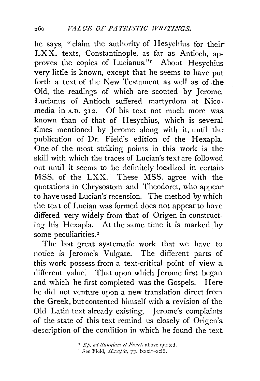he says, "claim the authority of Hesychius for their-LXX. texts, Constantinople, as far as Antioch, ap· proves the copies of Lucianus."<sup>I</sup> About Hesychius very little is known, except that he seems to have put forth a text of the New Testament as well as of the Old, the readings of which are scouted by Jerome. Lucianus of Antioch suffered martyrdom at Nicomedia in A.D. 312. Of his text not much more was. known than of that of Hesychius, which is several times mentioned by Jerome along with it, until the publication of Dr. Field's edition of the Hexapla. One of the most striking points in this work is the skill with which the traces of Lucian's text are followed out until it seems to be definitely localized in certain MSS. of the LXX. These MSS. agree with the quotations in Chrysostom and Theodoret, who appearto have used Lucian's recension. The method by which the text of Lucian was formed does not appear to havediffered very widely from that of Origen in constructing his Hexapla. At the same time it is marked by some peculiarities.<sup>2</sup>

The last great systematic work that we have to notice is Jerome's Vulgate. The different parts of this work possess from a text-critical point of view a different value. That upon which Jerome first began and which he first completed was the Gospels. Here he did not venture upon a new translation direct from the Greek, but contented himself with a revision of the Old Latin text already existing, Jerome's complaints of the state of this text remind us closely of Origen's. description of the condition in which he found the text.

<sup>&</sup>lt;sup>I</sup> Ep. ad Sunniam et Fretcl. above quoted.

<sup>&</sup>lt;sup>2</sup> See Field, *Ilexapla*, pp. lxxxiv-xciii.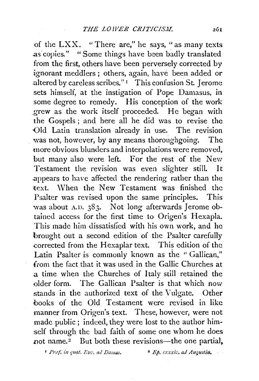of the LXX. "There are," he says, "as many texts as copies." "Some things have been badly translated from the first, others have been perversely corrected by ignorant meddlers ; others, again, have been added or altered by careless scribes." $1$  This confusion St. Jerome sets himself, at the instigation of Pope Damasus, in some degree to remedy. His conception of the work .grew as the work itself proceeded. He began with the Gospels; and here all he did was to revise the Old Latin translation already in use. The revision was not, however, by any means thoroughgoing. The more obvious blunders and interpolations were removed, but many also were left. For the rest of the New Testament the revision was even slighter still. It .appears to have affected the rendering rather than the text. When the New Testament was finished the Psalter was revised upon the same principles. This was about A.D. 383. Not long afterwards Jerome obtained access for the first time to Origen's Hexapla. This made him dissatisfied with his own work, and he brought out a second edition of the Psalter carefully .corrected from the Hexaplar text. This edition of the Latin Psalter is commonly known as the " Gallican," from the fact that it was used in the Gallic Churches at .a time when the Churches of Italy still retained the dder form. The Gallican Psalter is that which now stands in the authorized text of the Vulgate. Other books of the Old Testament were revised in like manner from Origen's text. These, however, were not made public ; indeed, they were lost to the author himself through the bad faith of some one whom he does not name.<sup>2</sup> But both these revisions—the one partial,

<sup>1</sup> Pref. in quat. Ev: ad Damas. <sup>•</sup> *Ep. cxxxiz. ad Augustin.*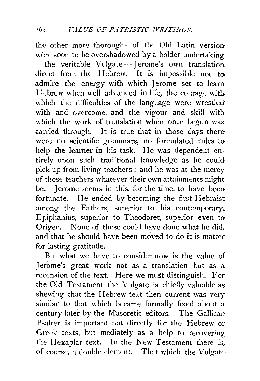the other more thorough-of the Old Latin version were soon to be overshadowed by a bolder undertaking--the veritable Vulgate-Ierome's own translation. direct from the Hebrew. It is impossible not to admire the energy with which Jerome set to learn Hebrew when well advanced in life, the courage with which the difficulties of the language were wrestled with and overcome, and the vigour and skill with which the work of translation when once begun was. carried through. It is true that in those days there were no scientific grammars, no formulated rules to help the learner in his task. He was dependent entirely upon such traditional knowledge as he could pick up from living teachers ; and he was at the mercy of those teachers whatever their own attainments might be. Jerome seems in this, for the time, to have been fortunate. He ended by becoming the first Hebraist among the Fathers, superior to his contemporary. Epiphanius, superior to Theodoret, superior even to Origen. None of these could have done what he did, and that he should have been moved to do it is matter for lasting gratitude.

But what we have to consider now is the value of Jerome's great work not as a translation but as a recension of the text. Here we must distinguish. For the Old Testament the Vulgate is chiefly valuable as shewing that the Hebrew text then current was very similar to that which became formally fixed about a century later by the Masoretic editors. The Gallican Psalter is important not directly for the Hebrew or Greek texts, but mediately as a help to recovering the Hexaplar text. In the New Testament there is, of course, a double element. That which the Vulgate: